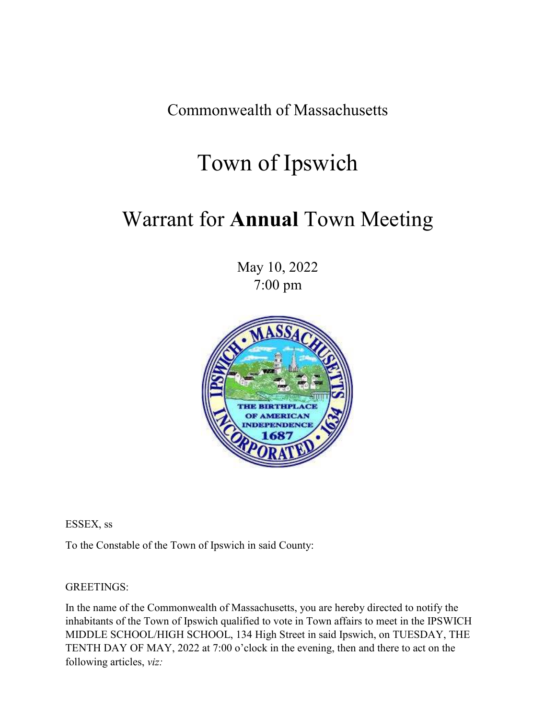Commonwealth of Massachusetts

# Town of Ipswich

# Warrant for **Annual** Town Meeting

May 10, 2022 7:00 pm



ESSEX, ss

To the Constable of the Town of Ipswich in said County:

GREETINGS:

In the name of the Commonwealth of Massachusetts, you are hereby directed to notify the inhabitants of the Town of Ipswich qualified to vote in Town affairs to meet in the IPSWICH MIDDLE SCHOOL/HIGH SCHOOL, 134 High Street in said Ipswich, on TUESDAY, THE TENTH DAY OF MAY, 2022 at 7:00 o'clock in the evening, then and there to act on the following articles, *viz:*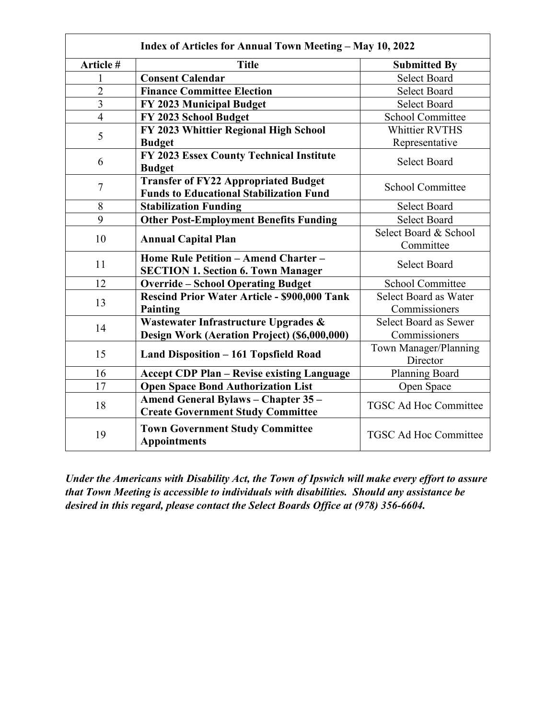| Index of Articles for Annual Town Meeting - May 10, 2022 |                                                                                               |                                   |  |  |
|----------------------------------------------------------|-----------------------------------------------------------------------------------------------|-----------------------------------|--|--|
| Article #                                                | <b>Title</b>                                                                                  | <b>Submitted By</b>               |  |  |
| 1                                                        | <b>Consent Calendar</b>                                                                       | <b>Select Board</b>               |  |  |
| $\overline{2}$                                           | <b>Finance Committee Election</b>                                                             | <b>Select Board</b>               |  |  |
| $\overline{3}$                                           | FY 2023 Municipal Budget                                                                      | <b>Select Board</b>               |  |  |
| $\overline{4}$                                           | FY 2023 School Budget                                                                         | <b>School Committee</b>           |  |  |
| 5                                                        | FY 2023 Whittier Regional High School                                                         | <b>Whittier RVTHS</b>             |  |  |
|                                                          | <b>Budget</b>                                                                                 | Representative                    |  |  |
| 6                                                        | FY 2023 Essex County Technical Institute<br><b>Budget</b>                                     | <b>Select Board</b>               |  |  |
| $\tau$                                                   | <b>Transfer of FY22 Appropriated Budget</b><br><b>Funds to Educational Stabilization Fund</b> | <b>School Committee</b>           |  |  |
| 8                                                        | <b>Stabilization Funding</b>                                                                  | <b>Select Board</b>               |  |  |
| 9                                                        | <b>Other Post-Employment Benefits Funding</b>                                                 | <b>Select Board</b>               |  |  |
| 10                                                       | <b>Annual Capital Plan</b>                                                                    | Select Board & School             |  |  |
|                                                          |                                                                                               | Committee                         |  |  |
| 11                                                       | Home Rule Petition - Amend Charter -                                                          | <b>Select Board</b>               |  |  |
|                                                          | <b>SECTION 1. Section 6. Town Manager</b>                                                     |                                   |  |  |
| 12                                                       | <b>Override - School Operating Budget</b>                                                     | <b>School Committee</b>           |  |  |
| 13                                                       | Rescind Prior Water Article - \$900,000 Tank                                                  | Select Board as Water             |  |  |
|                                                          | Painting                                                                                      | Commissioners                     |  |  |
| 14                                                       | Wastewater Infrastructure Upgrades &                                                          | Select Board as Sewer             |  |  |
|                                                          | Design Work (Aeration Project) (\$6,000,000)                                                  | Commissioners                     |  |  |
| 15                                                       | Land Disposition - 161 Topsfield Road                                                         | Town Manager/Planning<br>Director |  |  |
| 16                                                       | <b>Accept CDP Plan - Revise existing Language</b>                                             | Planning Board                    |  |  |
| 17                                                       | <b>Open Space Bond Authorization List</b>                                                     | Open Space                        |  |  |
| 18                                                       | <b>Amend General Bylaws - Chapter 35 -</b><br><b>Create Government Study Committee</b>        | <b>TGSC Ad Hoc Committee</b>      |  |  |
| 19                                                       | <b>Town Government Study Committee</b><br><b>Appointments</b>                                 | <b>TGSC Ad Hoc Committee</b>      |  |  |

*Under the Americans with Disability Act, the Town of Ipswich will make every effort to assure that Town Meeting is accessible to individuals with disabilities. Should any assistance be desired in this regard, please contact the Select Boards Office at (978) 356-6604.*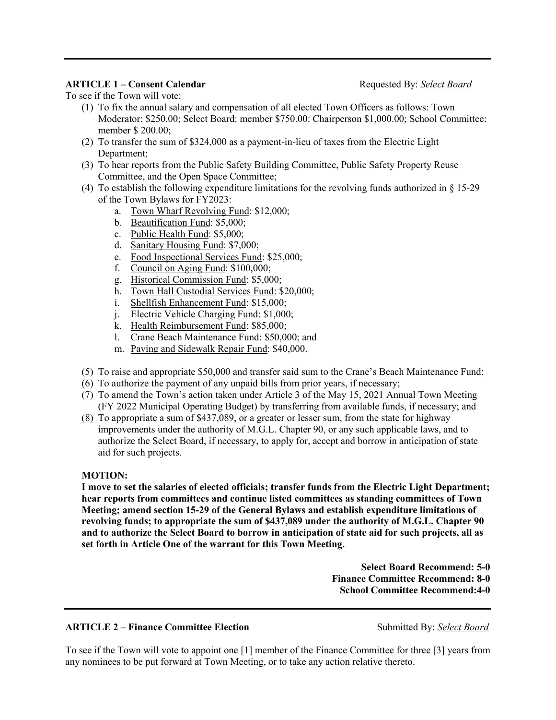# **ARTICLE 1 – Consent Calendar Requested By:** *<u>Select Board</u>* **Requested By:** *Select Board*

To see if the Town will vote:

- (1) To fix the annual salary and compensation of all elected Town Officers as follows: Town Moderator: \$250.00; Select Board: member \$750.00: Chairperson \$1,000.00; School Committee: member \$ 200.00;
- (2) To transfer the sum of \$324,000 as a payment-in-lieu of taxes from the Electric Light Department;
- (3) To hear reports from the Public Safety Building Committee, Public Safety Property Reuse Committee, and the Open Space Committee;
- (4) To establish the following expenditure limitations for the revolving funds authorized in § 15-29 of the Town Bylaws for FY2023:
	- a. Town Wharf Revolving Fund: \$12,000;
	- b. Beautification Fund: \$5,000;
	- c. Public Health Fund: \$5,000;
	- d. Sanitary Housing Fund: \$7,000;
	- e. Food Inspectional Services Fund: \$25,000;
	- f. Council on Aging Fund: \$100,000;
	- g. Historical Commission Fund: \$5,000;
	- h. Town Hall Custodial Services Fund: \$20,000;
	- i. Shellfish Enhancement Fund: \$15,000;
	- j. Electric Vehicle Charging Fund: \$1,000;
	- k. Health Reimbursement Fund: \$85,000;
	- l. Crane Beach Maintenance Fund: \$50,000; and
	- m. Paving and Sidewalk Repair Fund: \$40,000.
- (5) To raise and appropriate \$50,000 and transfer said sum to the Crane's Beach Maintenance Fund;
- (6) To authorize the payment of any unpaid bills from prior years, if necessary;
- (7) To amend the Town's action taken under Article 3 of the May 15, 2021 Annual Town Meeting (FY 2022 Municipal Operating Budget) by transferring from available funds, if necessary; and
- (8) To appropriate a sum of \$437,089, or a greater or lesser sum, from the state for highway improvements under the authority of M.G.L. Chapter 90, or any such applicable laws, and to authorize the Select Board, if necessary, to apply for, accept and borrow in anticipation of state aid for such projects.

# **MOTION:**

**I move to set the salaries of elected officials; transfer funds from the Electric Light Department; hear reports from committees and continue listed committees as standing committees of Town Meeting; amend section 15-29 of the General Bylaws and establish expenditure limitations of revolving funds; to appropriate the sum of \$437,089 under the authority of M.G.L. Chapter 90 and to authorize the Select Board to borrow in anticipation of state aid for such projects, all as set forth in Article One of the warrant for this Town Meeting.** 

> **Select Board Recommend: 5-0 Finance Committee Recommend: 8-0 School Committee Recommend:4-0**

# **ARTICLE 2 – Finance Committee Election Submitted By:** Select Board

To see if the Town will vote to appoint one [1] member of the Finance Committee for three [3] years from any nominees to be put forward at Town Meeting, or to take any action relative thereto.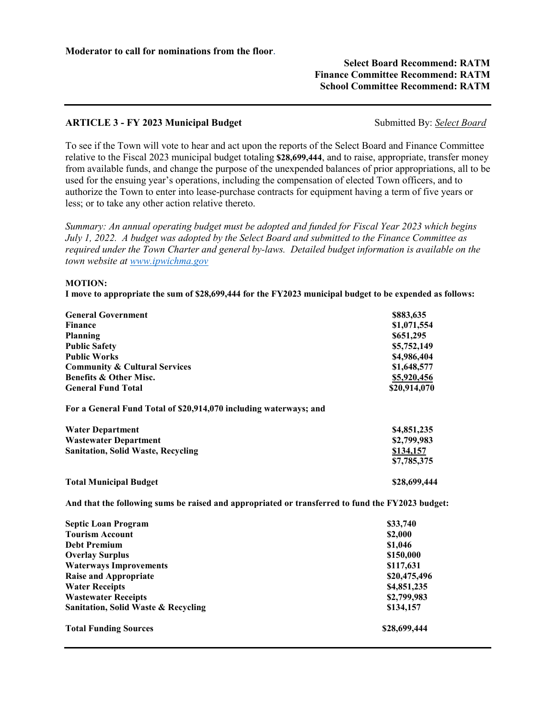# **Select Board Recommend: RATM Finance Committee Recommend: RATM School Committee Recommend: RATM**

# **ARTICLE 3 - FY 2023 Municipal Budget**  Submitted By: *Select Board*

To see if the Town will vote to hear and act upon the reports of the Select Board and Finance Committee relative to the Fiscal 2023 municipal budget totaling **\$28,699,444**, and to raise, appropriate, transfer money from available funds, and change the purpose of the unexpended balances of prior appropriations, all to be used for the ensuing year's operations, including the compensation of elected Town officers, and to authorize the Town to enter into lease-purchase contracts for equipment having a term of five years or less; or to take any other action relative thereto.

*Summary: An annual operating budget must be adopted and funded for Fiscal Year 2023 which begins July 1, 2022. A budget was adopted by the Select Board and submitted to the Finance Committee as required under the Town Charter and general by-laws. Detailed budget information is available on the town website at www.ipwichma.gov* 

### **MOTION:**

**I move to appropriate the sum of \$28,699,444 for the FY2023 municipal budget to be expended as follows:** 

| <b>General Government</b><br><b>Finance</b><br>Planning<br><b>Public Safety</b><br><b>Public Works</b> | \$883,635<br>\$1,071,554<br>\$651,295<br>\$5,752,149<br>\$4,986,404 |
|--------------------------------------------------------------------------------------------------------|---------------------------------------------------------------------|
| <b>Community &amp; Cultural Services</b>                                                               | \$1,648,577                                                         |
| <b>Benefits &amp; Other Misc.</b>                                                                      | \$5,920,456                                                         |
| <b>General Fund Total</b>                                                                              | \$20,914,070                                                        |
| For a General Fund Total of \$20,914,070 including waterways; and                                      |                                                                     |
| <b>Water Department</b>                                                                                | \$4,851,235                                                         |
| <b>Wastewater Department</b>                                                                           | \$2,799,983                                                         |
| <b>Sanitation, Solid Waste, Recycling</b>                                                              | \$134,157<br>\$7,785,375                                            |
| <b>Total Municipal Budget</b>                                                                          | \$28,699,444                                                        |

**And that the following sums be raised and appropriated or transferred to fund the FY2023 budget:** 

| <b>Septic Loan Program</b>                     | \$33,740     |
|------------------------------------------------|--------------|
| <b>Tourism Account</b>                         | \$2,000      |
| <b>Debt Premium</b>                            | \$1,046      |
| <b>Overlay Surplus</b>                         | \$150,000    |
| <b>Waterways Improvements</b>                  | \$117,631    |
| <b>Raise and Appropriate</b>                   | \$20,475,496 |
| <b>Water Receipts</b>                          | \$4,851,235  |
| <b>Wastewater Receipts</b>                     | \$2,799,983  |
| <b>Sanitation, Solid Waste &amp; Recycling</b> | \$134,157    |
| <b>Total Funding Sources</b>                   | \$28,699,444 |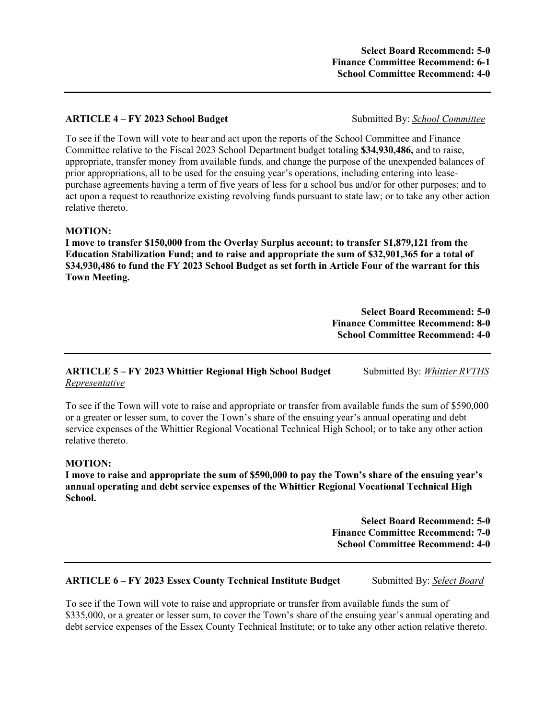# **ARTICLE 4 – FY 2023 School Budget** Submitted By: *School Committee*

To see if the Town will vote to hear and act upon the reports of the School Committee and Finance Committee relative to the Fiscal 2023 School Department budget totaling **\$34,930,486,** and to raise, appropriate, transfer money from available funds, and change the purpose of the unexpended balances of prior appropriations, all to be used for the ensuing year's operations, including entering into leasepurchase agreements having a term of five years of less for a school bus and/or for other purposes; and to act upon a request to reauthorize existing revolving funds pursuant to state law; or to take any other action relative thereto.

### **MOTION:**

**I move to transfer \$150,000 from the Overlay Surplus account; to transfer \$1,879,121 from the Education Stabilization Fund; and to raise and appropriate the sum of \$32,901,365 for a total of \$34,930,486 to fund the FY 2023 School Budget as set forth in Article Four of the warrant for this Town Meeting.**

> **Select Board Recommend: 5-0 Finance Committee Recommend: 8-0 School Committee Recommend: 4-0**

# **ARTICLE 5 – FY 2023 Whittier Regional High School Budget** Submitted By: *Whittier RVTHS Representative*

To see if the Town will vote to raise and appropriate or transfer from available funds the sum of \$590,000 or a greater or lesser sum, to cover the Town's share of the ensuing year's annual operating and debt service expenses of the Whittier Regional Vocational Technical High School; or to take any other action relative thereto.

### **MOTION:**

**I move to raise and appropriate the sum of \$590,000 to pay the Town's share of the ensuing year's annual operating and debt service expenses of the Whittier Regional Vocational Technical High School.** 

> **Select Board Recommend: 5-0 Finance Committee Recommend: 7-0 School Committee Recommend: 4-0**

# **ARTICLE 6 – FY 2023 Essex County Technical Institute Budget** Submitted By: *Select Board*

To see if the Town will vote to raise and appropriate or transfer from available funds the sum of \$335,000, or a greater or lesser sum, to cover the Town's share of the ensuing year's annual operating and debt service expenses of the Essex County Technical Institute; or to take any other action relative thereto.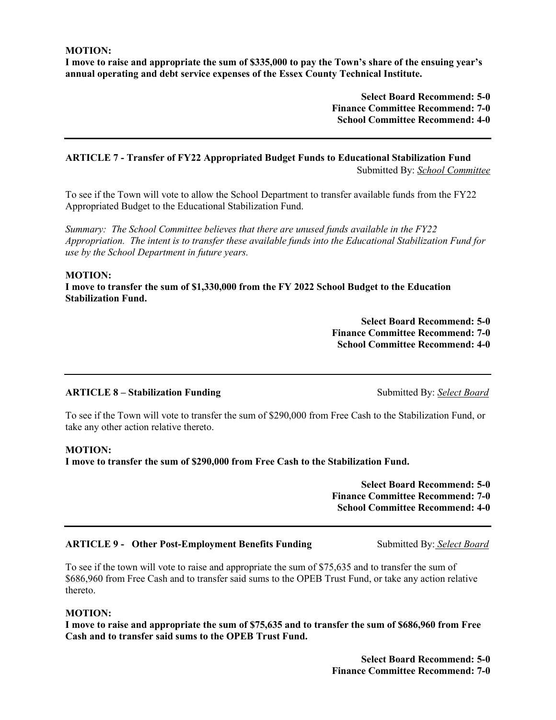**MOTION:** 

**I move to raise and appropriate the sum of \$335,000 to pay the Town's share of the ensuing year's annual operating and debt service expenses of the Essex County Technical Institute.** 

> **Select Board Recommend: 5-0 Finance Committee Recommend: 7-0 School Committee Recommend: 4-0**

## **ARTICLE 7 - Transfer of FY22 Appropriated Budget Funds to Educational Stabilization Fund**  Submitted By: *School Committee*

To see if the Town will vote to allow the School Department to transfer available funds from the FY22 Appropriated Budget to the Educational Stabilization Fund.

*Summary: The School Committee believes that there are unused funds available in the FY22 Appropriation. The intent is to transfer these available funds into the Educational Stabilization Fund for use by the School Department in future years.* 

### **MOTION:**

**I move to transfer the sum of \$1,330,000 from the FY 2022 School Budget to the Education Stabilization Fund.** 

> **Select Board Recommend: 5-0 Finance Committee Recommend: 7-0 School Committee Recommend: 4-0**

# **ARTICLE 8 – Stabilization Funding**  Submitted By: *Select Board* **Submitted By:** Submitted By: Select Board

To see if the Town will vote to transfer the sum of \$290,000 from Free Cash to the Stabilization Fund, or take any other action relative thereto.

# **MOTION:**

**I move to transfer the sum of \$290,000 from Free Cash to the Stabilization Fund.** 

**Select Board Recommend: 5-0 Finance Committee Recommend: 7-0 School Committee Recommend: 4-0** 

# **ARTICLE 9 - Other Post-Employment Benefits Funding Submitted By: Select Board**

To see if the town will vote to raise and appropriate the sum of \$75,635 and to transfer the sum of \$686,960 from Free Cash and to transfer said sums to the OPEB Trust Fund, or take any action relative thereto.

# **MOTION:**

**I move to raise and appropriate the sum of \$75,635 and to transfer the sum of \$686,960 from Free Cash and to transfer said sums to the OPEB Trust Fund.** 

> **Select Board Recommend: 5-0 Finance Committee Recommend: 7-0**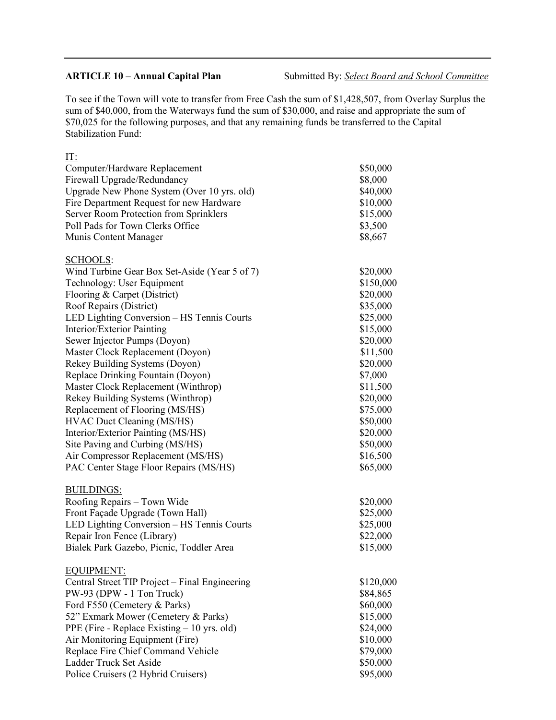IT:

**ARTICLE 10 – Annual Capital Plan** Submitted By: *Select Board and School Committee* 

To see if the Town will vote to transfer from Free Cash the sum of \$1,428,507, from Overlay Surplus the sum of \$40,000, from the Waterways fund the sum of \$30,000, and raise and appropriate the sum of \$70,025 for the following purposes, and that any remaining funds be transferred to the Capital Stabilization Fund:

| Computer/Hardware Replacement                  | \$50,000  |
|------------------------------------------------|-----------|
| Firewall Upgrade/Redundancy                    | \$8,000   |
| Upgrade New Phone System (Over 10 yrs. old)    | \$40,000  |
| Fire Department Request for new Hardware       | \$10,000  |
| Server Room Protection from Sprinklers         | \$15,000  |
| Poll Pads for Town Clerks Office               | \$3,500   |
| Munis Content Manager                          | \$8,667   |
|                                                |           |
| <b>SCHOOLS:</b>                                |           |
| Wind Turbine Gear Box Set-Aside (Year 5 of 7)  | \$20,000  |
| Technology: User Equipment                     | \$150,000 |
| Flooring & Carpet (District)                   | \$20,000  |
| Roof Repairs (District)                        | \$35,000  |
| LED Lighting Conversion - HS Tennis Courts     | \$25,000  |
| Interior/Exterior Painting                     | \$15,000  |
| Sewer Injector Pumps (Doyon)                   | \$20,000  |
| Master Clock Replacement (Doyon)               | \$11,500  |
| Rekey Building Systems (Doyon)                 | \$20,000  |
| Replace Drinking Fountain (Doyon)              | \$7,000   |
| Master Clock Replacement (Winthrop)            | \$11,500  |
| Rekey Building Systems (Winthrop)              | \$20,000  |
| Replacement of Flooring (MS/HS)                | \$75,000  |
| HVAC Duct Cleaning (MS/HS)                     | \$50,000  |
| Interior/Exterior Painting (MS/HS)             | \$20,000  |
| Site Paving and Curbing (MS/HS)                | \$50,000  |
| Air Compressor Replacement (MS/HS)             | \$16,500  |
| PAC Center Stage Floor Repairs (MS/HS)         | \$65,000  |
|                                                |           |
| <b>BUILDINGS:</b>                              |           |
| Roofing Repairs - Town Wide                    | \$20,000  |
| Front Façade Upgrade (Town Hall)               | \$25,000  |
| LED Lighting Conversion - HS Tennis Courts     | \$25,000  |
| Repair Iron Fence (Library)                    | \$22,000  |
| Bialek Park Gazebo, Picnic, Toddler Area       | \$15,000  |
|                                                |           |
| <b>EQUIPMENT:</b>                              |           |
| Central Street TIP Project – Final Engineering | \$120,000 |
| PW-93 (DPW - 1 Ton Truck)                      | \$84,865  |
| Ford F550 (Cemetery & Parks)                   | \$60,000  |
| 52" Exmark Mower (Cemetery & Parks)            | \$15,000  |
| PPE (Fire - Replace Existing $-10$ yrs. old)   | \$24,000  |
| Air Monitoring Equipment (Fire)                | \$10,000  |
| Replace Fire Chief Command Vehicle             | \$79,000  |
| Ladder Truck Set Aside                         | \$50,000  |
| Police Cruisers (2 Hybrid Cruisers)            | \$95,000  |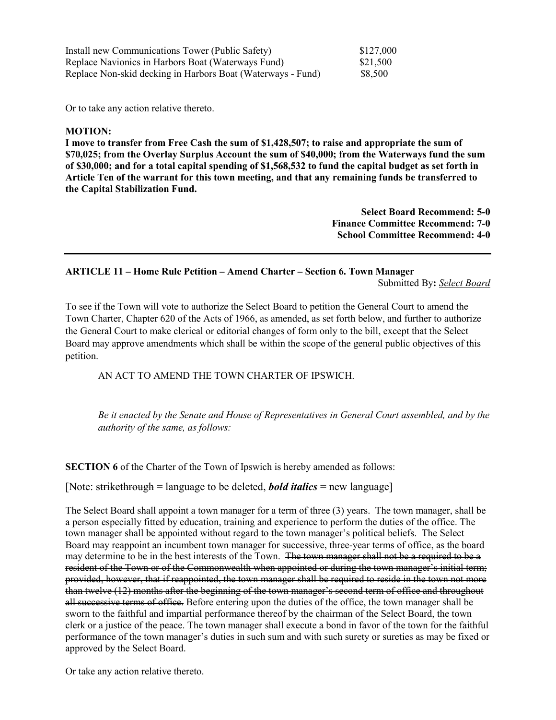| Install new Communications Tower (Public Safety)            | \$127,000 |
|-------------------------------------------------------------|-----------|
| Replace Navionics in Harbors Boat (Waterways Fund)          | \$21,500  |
| Replace Non-skid decking in Harbors Boat (Waterways - Fund) | \$8,500   |

Or to take any action relative thereto.

### **MOTION:**

**I move to transfer from Free Cash the sum of \$1,428,507; to raise and appropriate the sum of \$70,025; from the Overlay Surplus Account the sum of \$40,000; from the Waterways fund the sum of \$30,000; and for a total capital spending of \$1,568,532 to fund the capital budget as set forth in Article Ten of the warrant for this town meeting, and that any remaining funds be transferred to the Capital Stabilization Fund.**

> **Select Board Recommend: 5-0 Finance Committee Recommend: 7-0 School Committee Recommend: 4-0**

# **ARTICLE 11 – Home Rule Petition – Amend Charter – Section 6. Town Manager**

Submitted By**:** *Select Board* 

To see if the Town will vote to authorize the Select Board to petition the General Court to amend the Town Charter, Chapter 620 of the Acts of 1966, as amended, as set forth below, and further to authorize the General Court to make clerical or editorial changes of form only to the bill, except that the Select Board may approve amendments which shall be within the scope of the general public objectives of this petition.

AN ACT TO AMEND THE TOWN CHARTER OF IPSWICH.

*Be it enacted by the Senate and House of Representatives in General Court assembled, and by the authority of the same, as follows:* 

**SECTION 6** of the Charter of the Town of Ipswich is hereby amended as follows:

[Note: strikethrough = language to be deleted, *bold italics* = new language]

The Select Board shall appoint a town manager for a term of three (3) years. The town manager, shall be a person especially fitted by education, training and experience to perform the duties of the office. The town manager shall be appointed without regard to the town manager's political beliefs. The Select Board may reappoint an incumbent town manager for successive, three-year terms of office, as the board may determine to be in the best interests of the Town. The town manager shall not be a required to be a resident of the Town or of the Commonwealth when appointed or during the town manager's initial term; provided, however, that if reappointed, the town manager shall be required to reside in the town not more than twelve (12) months after the beginning of the town manager's second term of office and throughout all successive terms of office. Before entering upon the duties of the office, the town manager shall be sworn to the faithful and impartial performance thereof by the chairman of the Select Board, the town clerk or a justice of the peace. The town manager shall execute a bond in favor of the town for the faithful performance of the town manager's duties in such sum and with such surety or sureties as may be fixed or approved by the Select Board.

Or take any action relative thereto.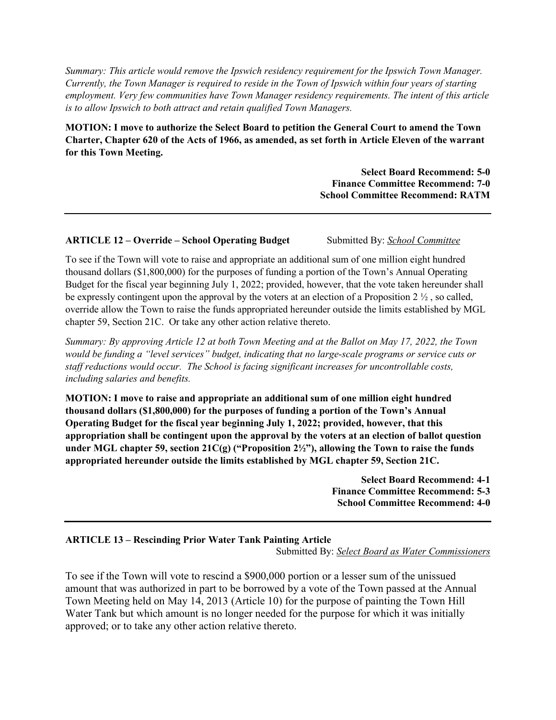*Summary: This article would remove the Ipswich residency requirement for the Ipswich Town Manager. Currently, the Town Manager is required to reside in the Town of Ipswich within four years of starting employment. Very few communities have Town Manager residency requirements. The intent of this article is to allow Ipswich to both attract and retain qualified Town Managers.* 

**MOTION: I move to authorize the Select Board to petition the General Court to amend the Town Charter, Chapter 620 of the Acts of 1966, as amended, as set forth in Article Eleven of the warrant for this Town Meeting.** 

> **Select Board Recommend: 5-0 Finance Committee Recommend: 7-0 School Committee Recommend: RATM**

# **ARTICLE 12 – Override – School Operating Budget** Submitted By: *School Committee*

To see if the Town will vote to raise and appropriate an additional sum of one million eight hundred thousand dollars (\$1,800,000) for the purposes of funding a portion of the Town's Annual Operating Budget for the fiscal year beginning July 1, 2022; provided, however, that the vote taken hereunder shall be expressly contingent upon the approval by the voters at an election of a Proposition 2 ½ , so called, override allow the Town to raise the funds appropriated hereunder outside the limits established by MGL chapter 59, Section 21C. Or take any other action relative thereto.

*Summary: By approving Article 12 at both Town Meeting and at the Ballot on May 17, 2022, the Town would be funding a "level services" budget, indicating that no large-scale programs or service cuts or staff reductions would occur. The School is facing significant increases for uncontrollable costs, including salaries and benefits.* 

**MOTION: I move to raise and appropriate an additional sum of one million eight hundred thousand dollars (\$1,800,000) for the purposes of funding a portion of the Town's Annual Operating Budget for the fiscal year beginning July 1, 2022; provided, however, that this appropriation shall be contingent upon the approval by the voters at an election of ballot question under MGL chapter 59, section 21C(g) ("Proposition 2½"), allowing the Town to raise the funds appropriated hereunder outside the limits established by MGL chapter 59, Section 21C.** 

> **Select Board Recommend: 4-1 Finance Committee Recommend: 5-3 School Committee Recommend: 4-0**

# **ARTICLE 13 – Rescinding Prior Water Tank Painting Article** Submitted By: *Select Board as Water Commissioners*

To see if the Town will vote to rescind a \$900,000 portion or a lesser sum of the unissued amount that was authorized in part to be borrowed by a vote of the Town passed at the Annual Town Meeting held on May 14, 2013 (Article 10) for the purpose of painting the Town Hill Water Tank but which amount is no longer needed for the purpose for which it was initially approved; or to take any other action relative thereto.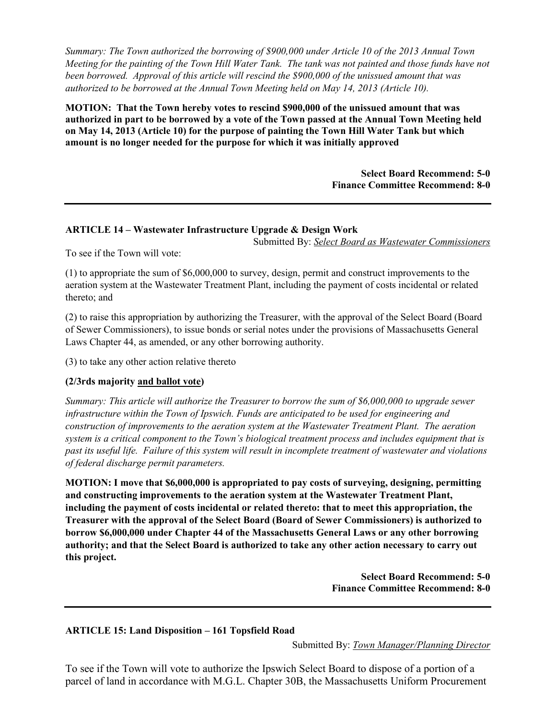*Summary: The Town authorized the borrowing of \$900,000 under Article 10 of the 2013 Annual Town Meeting for the painting of the Town Hill Water Tank. The tank was not painted and those funds have not been borrowed. Approval of this article will rescind the \$900,000 of the unissued amount that was authorized to be borrowed at the Annual Town Meeting held on May 14, 2013 (Article 10).* 

**MOTION: That the Town hereby votes to rescind \$900,000 of the unissued amount that was authorized in part to be borrowed by a vote of the Town passed at the Annual Town Meeting held on May 14, 2013 (Article 10) for the purpose of painting the Town Hill Water Tank but which amount is no longer needed for the purpose for which it was initially approved** 

> **Select Board Recommend: 5-0 Finance Committee Recommend: 8-0**

# **ARTICLE 14 – Wastewater Infrastructure Upgrade & Design Work**

Submitted By: *Select Board as Wastewater Commissioners* 

To see if the Town will vote:

(1) to appropriate the sum of \$6,000,000 to survey, design, permit and construct improvements to the aeration system at the Wastewater Treatment Plant, including the payment of costs incidental or related thereto; and

(2) to raise this appropriation by authorizing the Treasurer, with the approval of the Select Board (Board of Sewer Commissioners), to issue bonds or serial notes under the provisions of Massachusetts General Laws Chapter 44, as amended, or any other borrowing authority.

(3) to take any other action relative thereto

# **(2/3rds majority and ballot vote)**

*Summary: This article will authorize the Treasurer to borrow the sum of \$6,000,000 to upgrade sewer infrastructure within the Town of Ipswich. Funds are anticipated to be used for engineering and construction of improvements to the aeration system at the Wastewater Treatment Plant. The aeration system is a critical component to the Town's biological treatment process and includes equipment that is past its useful life. Failure of this system will result in incomplete treatment of wastewater and violations of federal discharge permit parameters.* 

**MOTION: I move that \$6,000,000 is appropriated to pay costs of surveying, designing, permitting and constructing improvements to the aeration system at the Wastewater Treatment Plant, including the payment of costs incidental or related thereto: that to meet this appropriation, the Treasurer with the approval of the Select Board (Board of Sewer Commissioners) is authorized to borrow \$6,000,000 under Chapter 44 of the Massachusetts General Laws or any other borrowing authority; and that the Select Board is authorized to take any other action necessary to carry out this project.** 

> **Select Board Recommend: 5-0 Finance Committee Recommend: 8-0**

# **ARTICLE 15: Land Disposition – 161 Topsfield Road**

Submitted By: *Town Manager/Planning Director*

To see if the Town will vote to authorize the Ipswich Select Board to dispose of a portion of a parcel of land in accordance with M.G.L. Chapter 30B, the Massachusetts Uniform Procurement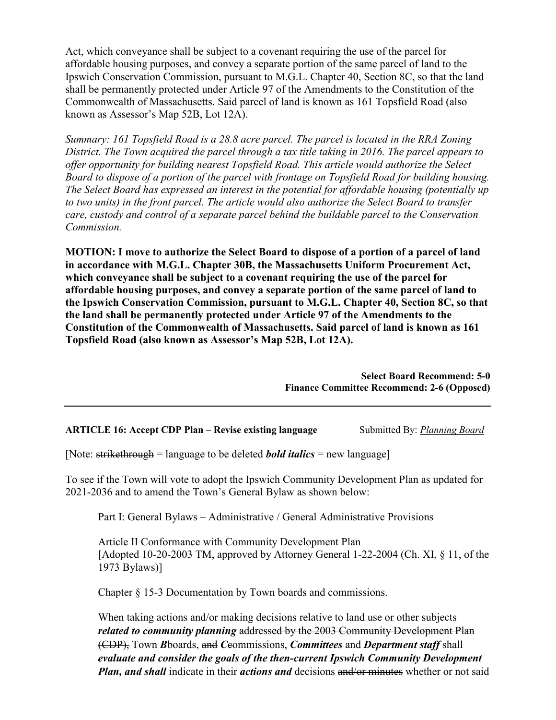Act, which conveyance shall be subject to a covenant requiring the use of the parcel for affordable housing purposes, and convey a separate portion of the same parcel of land to the Ipswich Conservation Commission, pursuant to M.G.L. Chapter 40, Section 8C, so that the land shall be permanently protected under Article 97 of the Amendments to the Constitution of the Commonwealth of Massachusetts. Said parcel of land is known as 161 Topsfield Road (also known as Assessor's Map 52B, Lot 12A).

*Summary: 161 Topsfield Road is a 28.8 acre parcel. The parcel is located in the RRA Zoning District. The Town acquired the parcel through a tax title taking in 2016. The parcel appears to offer opportunity for building nearest Topsfield Road. This article would authorize the Select Board to dispose of a portion of the parcel with frontage on Topsfield Road for building housing. The Select Board has expressed an interest in the potential for affordable housing (potentially up to two units) in the front parcel. The article would also authorize the Select Board to transfer care, custody and control of a separate parcel behind the buildable parcel to the Conservation Commission.* 

**MOTION: I move to authorize the Select Board to dispose of a portion of a parcel of land in accordance with M.G.L. Chapter 30B, the Massachusetts Uniform Procurement Act, which conveyance shall be subject to a covenant requiring the use of the parcel for affordable housing purposes, and convey a separate portion of the same parcel of land to the Ipswich Conservation Commission, pursuant to M.G.L. Chapter 40, Section 8C, so that the land shall be permanently protected under Article 97 of the Amendments to the Constitution of the Commonwealth of Massachusetts. Said parcel of land is known as 161 Topsfield Road (also known as Assessor's Map 52B, Lot 12A).** 

> **Select Board Recommend: 5-0 Finance Committee Recommend: 2-6 (Opposed)**

**ARTICLE 16: Accept CDP Plan – Revise existing language** Submitted By: *Planning Board* 

[Note: strikethrough = language to be deleted *bold italics* = new language]

To see if the Town will vote to adopt the Ipswich Community Development Plan as updated for 2021-2036 and to amend the Town's General Bylaw as shown below:

Part I: General Bylaws – Administrative / General Administrative Provisions

Article II Conformance with Community Development Plan [Adopted 10-20-2003 TM, approved by Attorney General 1-22-2004 (Ch. XI, § 11, of the 1973 Bylaws)]

Chapter § 15-3 Documentation by Town boards and commissions.

When taking actions and/or making decisions relative to land use or other subjects *related to community planning* addressed by the 2003 Community Development Plan (CDP), Town *B*boards, and *C*commissions, *Committees* and *Department staff* shall *evaluate and consider the goals of the then-current Ipswich Community Development Plan, and shall* indicate in their *actions and* decisions and/or minutes whether or not said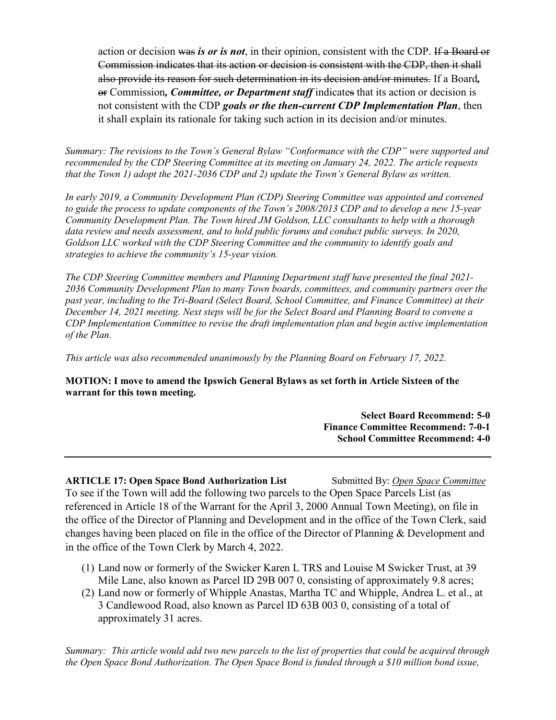action or decision was *is or is not*, in their opinion, consistent with the CDP. If a Board or Commission indicates that its action or decision is consistent with the CDP, then it shall also provide its reason for such determination in its decision and/or minutes. If a Board*,* or Commission*, Committee, or Department staff* indicates that its action or decision is not consistent with the CDP *goals or the then-current CDP Implementation Plan*, then it shall explain its rationale for taking such action in its decision and/or minutes.

*Summary: The revisions to the Town's General Bylaw "Conformance with the CDP" were supported and recommended by the CDP Steering Committee at its meeting on January 24, 2022. The article requests that the Town 1) adopt the 2021-2036 CDP and 2) update the Town's General Bylaw as written.* 

*In early 2019, a Community Development Plan (CDP) Steering Committee was appointed and convened to guide the process to update components of the Town's 2008/2013 CDP and to develop a new 15-year Community Development Plan. The Town hired JM Goldson, LLC consultants to help with a thorough data review and needs assessment, and to hold public forums and conduct public surveys. In 2020, Goldson LLC worked with the CDP Steering Committee and the community to identify goals and strategies to achieve the community's 15-year vision.* 

*The CDP Steering Committee members and Planning Department staff have presented the final 2021- 2036 Community Development Plan to many Town boards, committees, and community partners over the past year, including to the Tri-Board (Select Board, School Committee, and Finance Committee) at their December 14, 2021 meeting. Next steps will be for the Select Board and Planning Board to convene a CDP Implementation Committee to revise the draft implementation plan and begin active implementation of the Plan.* 

*This article was also recommended unanimously by the Planning Board on February 17, 2022.* 

**MOTION: I move to amend the Ipswich General Bylaws as set forth in Article Sixteen of the warrant for this town meeting.** 

> **Select Board Recommend: 5-0 Finance Committee Recommend: 7-0-1 School Committee Recommend: 4-0**

**ARTICLE 17: Open Space Bond Authorization List** Submitted By: *Open Space Committee* To see if the Town will add the following two parcels to the Open Space Parcels List (as referenced in Article 18 of the Warrant for the April 3, 2000 Annual Town Meeting), on file in the office of the Director of Planning and Development and in the office of the Town Clerk, said changes having been placed on file in the office of the Director of Planning & Development and in the office of the Town Clerk by March 4, 2022.

- (1) Land now or formerly of the Swicker Karen L TRS and Louise M Swicker Trust, at 39 Mile Lane, also known as Parcel ID 29B 007 0, consisting of approximately 9.8 acres;
- (2) Land now or formerly of Whipple Anastas, Martha TC and Whipple, Andrea L. et al., at 3 Candlewood Road, also known as Parcel ID 63B 003 0, consisting of a total of approximately 31 acres.

*Summary: This article would add two new parcels to the list of properties that could be acquired through the Open Space Bond Authorization. The Open Space Bond is funded through a \$10 million bond issue,*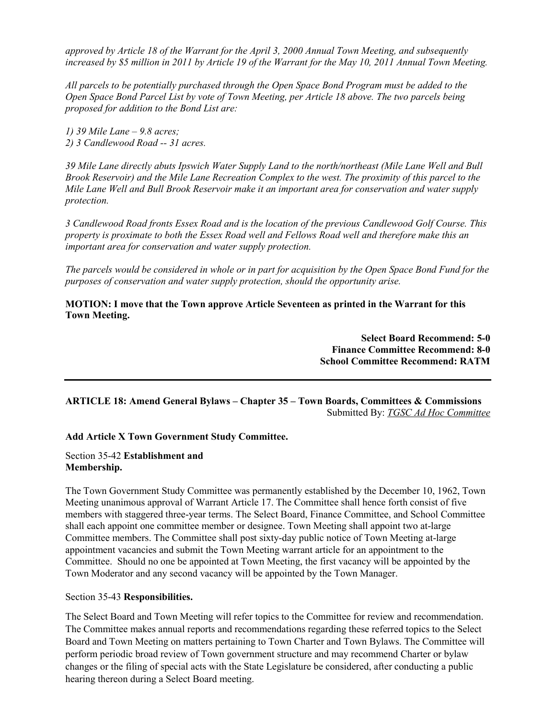*approved by Article 18 of the Warrant for the April 3, 2000 Annual Town Meeting, and subsequently increased by \$5 million in 2011 by Article 19 of the Warrant for the May 10, 2011 Annual Town Meeting.* 

*All parcels to be potentially purchased through the Open Space Bond Program must be added to the Open Space Bond Parcel List by vote of Town Meeting, per Article 18 above. The two parcels being proposed for addition to the Bond List are:* 

*1) 39 Mile Lane – 9.8 acres; 2) 3 Candlewood Road -- 31 acres.* 

*39 Mile Lane directly abuts Ipswich Water Supply Land to the north/northeast (Mile Lane Well and Bull Brook Reservoir) and the Mile Lane Recreation Complex to the west. The proximity of this parcel to the Mile Lane Well and Bull Brook Reservoir make it an important area for conservation and water supply protection.* 

*3 Candlewood Road fronts Essex Road and is the location of the previous Candlewood Golf Course. This property is proximate to both the Essex Road well and Fellows Road well and therefore make this an important area for conservation and water supply protection.* 

*The parcels would be considered in whole or in part for acquisition by the Open Space Bond Fund for the purposes of conservation and water supply protection, should the opportunity arise.* 

**MOTION: I move that the Town approve Article Seventeen as printed in the Warrant for this Town Meeting.** 

> **Select Board Recommend: 5-0 Finance Committee Recommend: 8-0 School Committee Recommend: RATM**

# **ARTICLE 18: Amend General Bylaws – Chapter 35 – Town Boards, Committees & Commissions**  Submitted By: *TGSC Ad Hoc Committee*

### **Add Article X Town Government Study Committee.**

### Section 35-42 **Establishment and Membership.**

The Town Government Study Committee was permanently established by the December 10, 1962, Town Meeting unanimous approval of Warrant Article 17. The Committee shall hence forth consist of five members with staggered three-year terms. The Select Board, Finance Committee, and School Committee shall each appoint one committee member or designee. Town Meeting shall appoint two at-large Committee members. The Committee shall post sixty-day public notice of Town Meeting at-large appointment vacancies and submit the Town Meeting warrant article for an appointment to the Committee. Should no one be appointed at Town Meeting, the first vacancy will be appointed by the Town Moderator and any second vacancy will be appointed by the Town Manager.

# Section 35-43 **Responsibilities.**

The Select Board and Town Meeting will refer topics to the Committee for review and recommendation. The Committee makes annual reports and recommendations regarding these referred topics to the Select Board and Town Meeting on matters pertaining to Town Charter and Town Bylaws. The Committee will perform periodic broad review of Town government structure and may recommend Charter or bylaw changes or the filing of special acts with the State Legislature be considered, after conducting a public hearing thereon during a Select Board meeting.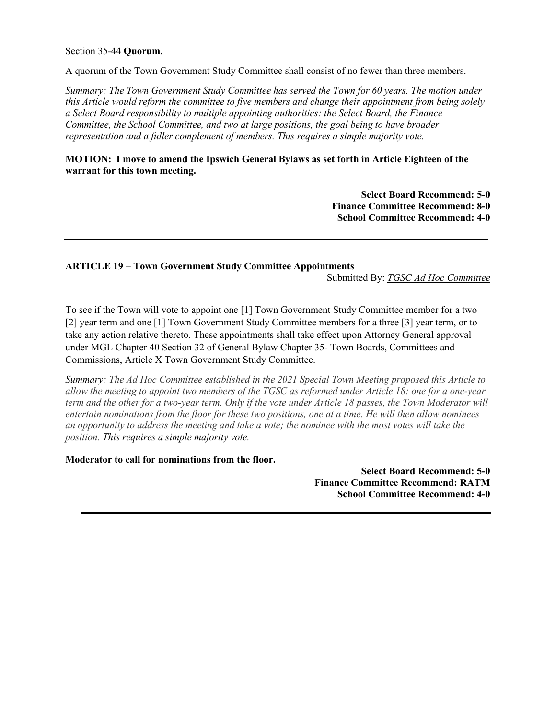## Section 35-44 **Quorum.**

A quorum of the Town Government Study Committee shall consist of no fewer than three members.

*Summary: The Town Government Study Committee has served the Town for 60 years. The motion under this Article would reform the committee to five members and change their appointment from being solely a Select Board responsibility to multiple appointing authorities: the Select Board, the Finance Committee, the School Committee, and two at large positions, the goal being to have broader representation and a fuller complement of members. This requires a simple majority vote.* 

# **MOTION: I move to amend the Ipswich General Bylaws as set forth in Article Eighteen of the warrant for this town meeting.**

**Select Board Recommend: 5-0 Finance Committee Recommend: 8-0 School Committee Recommend: 4-0** 

# **ARTICLE 19 – Town Government Study Committee Appointments**

Submitted By: *TGSC Ad Hoc Committee* 

To see if the Town will vote to appoint one [1] Town Government Study Committee member for a two [2] year term and one [1] Town Government Study Committee members for a three [3] year term, or to take any action relative thereto. These appointments shall take effect upon Attorney General approval under MGL Chapter 40 Section 32 of General Bylaw Chapter 35- Town Boards, Committees and Commissions, Article X Town Government Study Committee.

*Summary: The Ad Hoc Committee established in the 2021 Special Town Meeting proposed this Article to allow the meeting to appoint two members of the TGSC as reformed under Article 18: one for a one-year term and the other for a two-year term. Only if the vote under Article 18 passes, the Town Moderator will entertain nominations from the floor for these two positions, one at a time. He will then allow nominees an opportunity to address the meeting and take a vote; the nominee with the most votes will take the position. This requires a simple majority vote.* 

**Moderator to call for nominations from the floor.** 

**Select Board Recommend: 5-0 Finance Committee Recommend: RATM School Committee Recommend: 4-0**